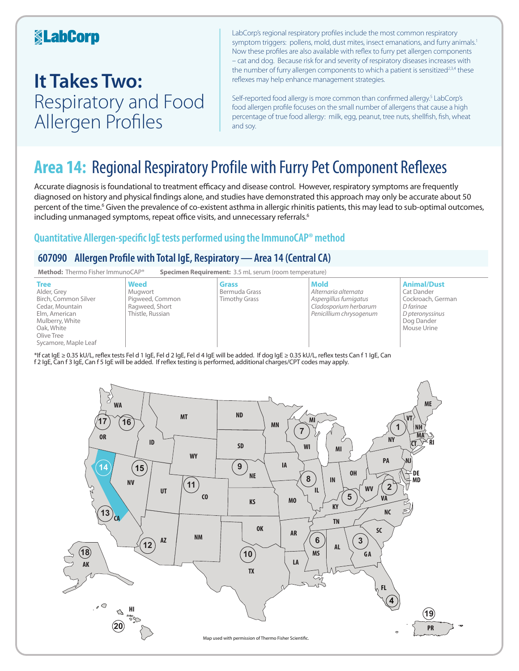### **KabCorp**

## **It Takes Two:**  Respiratory and Food Allergen Profiles

LabCorp's regional respiratory profiles include the most common respiratory symptom triggers: pollens, mold, dust mites, insect emanations, and furry animals.<sup>1</sup> Now these profiles are also available with reflex to furry pet allergen components – cat and dog. Because risk for and severity of respiratory diseases increases with the number of furry allergen components to which a patient is sensitized<sup>2,3,4</sup> these reflexes may help enhance management strategies.

Self-reported food allergy is more common than confirmed allergy.<sup>5</sup> LabCorp's food allergen profile focuses on the small number of allergens that cause a high percentage of true food allergy: milk, egg, peanut, tree nuts, shellfish, fish, wheat and soy.

## **Area 14:** Regional Respiratory Profile with Furry Pet Component Reflexes

Accurate diagnosis is foundational to treatment efficacy and disease control. However, respiratory symptoms are frequently diagnosed on history and physical findings alone, and studies have demonstrated this approach may only be accurate about 50 percent of the time.<sup>6</sup> Given the prevalence of co-existent asthma in allergic rhinitis patients, this may lead to sub-optimal outcomes, including unmanaged symptoms, repeat office visits, and unnecessary referrals.<sup>6</sup>

### **Quantitative Allergen-specific IgE tests performed using the ImmunoCAP® method**

### **607090 Allergen Profile with Total IgE, Respiratory—Area 14 (Central CA)**